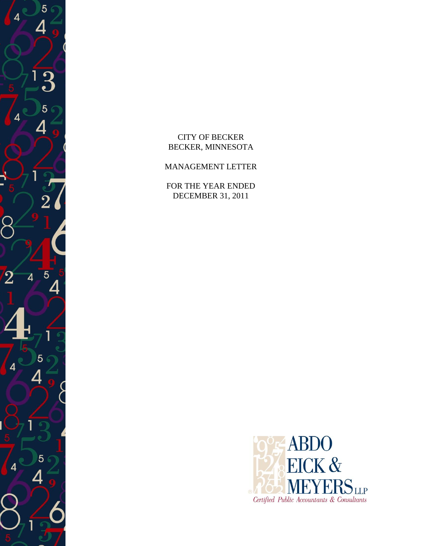

 $-4$   $_{\odot}$ 

5

 $\overline{2}$ 

 $\overline{2}$ 

4

 $\overline{4}$ 

4

5

5

4

 $\overline{5}$ 

# MANAGEMENT LETTER

FOR THE YEAR ENDED DECEMBER 31, 2011

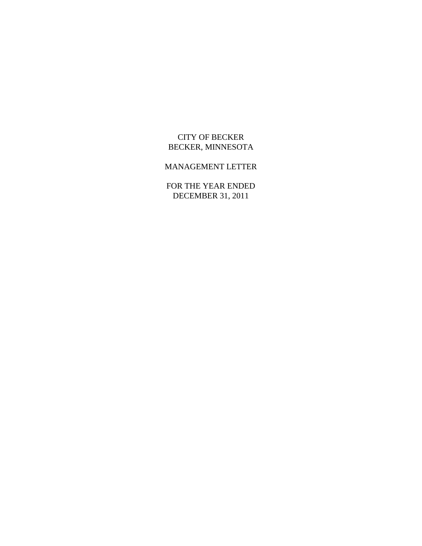# CITY OF BECKER BECKER, MINNESOTA

# MANAGEMENT LETTER

FOR THE YEAR ENDED DECEMBER 31, 2011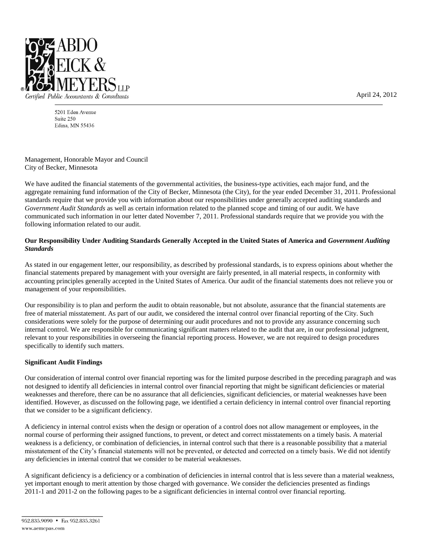

5201 Eden Avenue Suite 250 Edina, MN 55436

Management, Honorable Mayor and Council City of Becker, Minnesota

We have audited the financial statements of the governmental activities, the business-type activities, each major fund, and the aggregate remaining fund information of the City of Becker, Minnesota (the City), for the year ended December 31, 2011. Professional standards require that we provide you with information about our responsibilities under generally accepted auditing standards and *Government Audit Standards* as well as certain information related to the planned scope and timing of our audit. We have communicated such information in our letter dated November 7, 2011. Professional standards require that we provide you with the following information related to our audit.

### **Our Responsibility Under Auditing Standards Generally Accepted in the United States of America and** *Government Auditing Standards*

As stated in our engagement letter, our responsibility, as described by professional standards, is to express opinions about whether the financial statements prepared by management with your oversight are fairly presented, in all material respects, in conformity with accounting principles generally accepted in the United States of America. Our audit of the financial statements does not relieve you or management of your responsibilities.

Our responsibility is to plan and perform the audit to obtain reasonable, but not absolute, assurance that the financial statements are free of material misstatement. As part of our audit, we considered the internal control over financial reporting of the City. Such considerations were solely for the purpose of determining our audit procedures and not to provide any assurance concerning such internal control. We are responsible for communicating significant matters related to the audit that are, in our professional judgment, relevant to your responsibilities in overseeing the financial reporting process. However, we are not required to design procedures specifically to identify such matters.

### **Significant Audit Findings**

Our consideration of internal control over financial reporting was for the limited purpose described in the preceding paragraph and was not designed to identify all deficiencies in internal control over financial reporting that might be significant deficiencies or material weaknesses and therefore, there can be no assurance that all deficiencies, significant deficiencies, or material weaknesses have been identified. However, as discussed on the following page, we identified a certain deficiency in internal control over financial reporting that we consider to be a significant deficiency.

A deficiency in internal control exists when the design or operation of a control does not allow management or employees, in the normal course of performing their assigned functions, to prevent, or detect and correct misstatements on a timely basis. A material weakness is a deficiency, or combination of deficiencies, in internal control such that there is a reasonable possibility that a material misstatement of the City's financial statements will not be prevented, or detected and corrected on a timely basis. We did not identify any deficiencies in internal control that we consider to be material weaknesses.

A significant deficiency is a deficiency or a combination of deficiencies in internal control that is less severe than a material weakness, yet important enough to merit attention by those charged with governance. We consider the deficiencies presented as findings 2011-1 and 2011-2 on the following pages to be a significant deficiencies in internal control over financial reporting.

April 24, 2012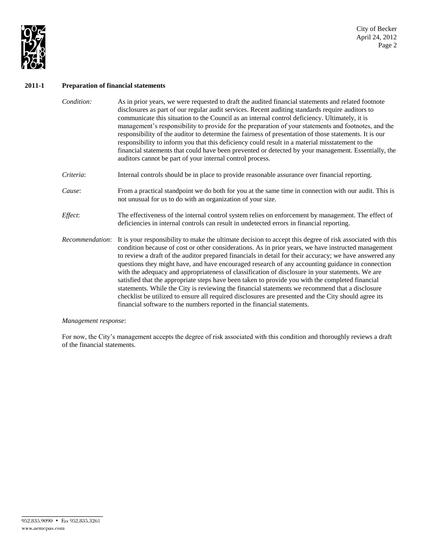

## **2011-1 Preparation of financial statements**

| Condition:      | As in prior years, we were requested to draft the audited financial statements and related footnote<br>disclosures as part of our regular audit services. Recent auditing standards require auditors to<br>communicate this situation to the Council as an internal control deficiency. Ultimately, it is<br>management's responsibility to provide for the preparation of your statements and footnotes, and the<br>responsibility of the auditor to determine the fairness of presentation of those statements. It is our<br>responsibility to inform you that this deficiency could result in a material misstatement to the<br>financial statements that could have been prevented or detected by your management. Essentially, the<br>auditors cannot be part of your internal control process.                                                                                                                           |
|-----------------|--------------------------------------------------------------------------------------------------------------------------------------------------------------------------------------------------------------------------------------------------------------------------------------------------------------------------------------------------------------------------------------------------------------------------------------------------------------------------------------------------------------------------------------------------------------------------------------------------------------------------------------------------------------------------------------------------------------------------------------------------------------------------------------------------------------------------------------------------------------------------------------------------------------------------------|
| Criteria:       | Internal controls should be in place to provide reasonable assurance over financial reporting.                                                                                                                                                                                                                                                                                                                                                                                                                                                                                                                                                                                                                                                                                                                                                                                                                                 |
| Cause:          | From a practical standpoint we do both for you at the same time in connection with our audit. This is<br>not unusual for us to do with an organization of your size.                                                                                                                                                                                                                                                                                                                                                                                                                                                                                                                                                                                                                                                                                                                                                           |
| Effect:         | The effectiveness of the internal control system relies on enforcement by management. The effect of<br>deficiencies in internal controls can result in undetected errors in financial reporting.                                                                                                                                                                                                                                                                                                                                                                                                                                                                                                                                                                                                                                                                                                                               |
| Recommendation: | It is your responsibility to make the ultimate decision to accept this degree of risk associated with this<br>condition because of cost or other considerations. As in prior years, we have instructed management<br>to review a draft of the auditor prepared financials in detail for their accuracy; we have answered any<br>questions they might have, and have encouraged research of any accounting guidance in connection<br>with the adequacy and appropriateness of classification of disclosure in your statements. We are<br>satisfied that the appropriate steps have been taken to provide you with the completed financial<br>statements. While the City is reviewing the financial statements we recommend that a disclosure<br>checklist be utilized to ensure all required disclosures are presented and the City should agree its<br>financial software to the numbers reported in the financial statements. |

### *Management response*:

For now, the City's management accepts the degree of risk associated with this condition and thoroughly reviews a draft of the financial statements.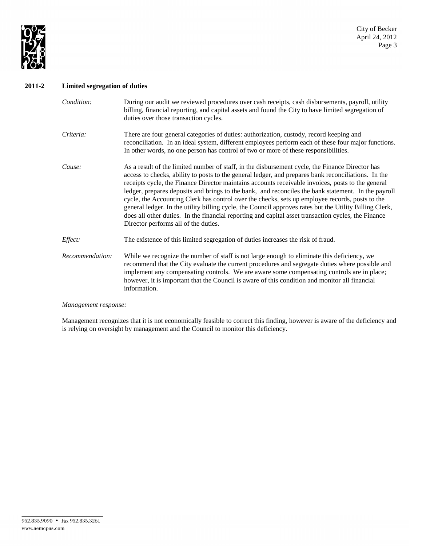

## **2011-2 Limited segregation of duties**

| Condition:      | During our audit we reviewed procedures over cash receipts, cash disbursements, payroll, utility<br>billing, financial reporting, and capital assets and found the City to have limited segregation of<br>duties over those transaction cycles.                                                                                                                                                                                                                                                                                                                                                                                                                                                                                                                                 |
|-----------------|---------------------------------------------------------------------------------------------------------------------------------------------------------------------------------------------------------------------------------------------------------------------------------------------------------------------------------------------------------------------------------------------------------------------------------------------------------------------------------------------------------------------------------------------------------------------------------------------------------------------------------------------------------------------------------------------------------------------------------------------------------------------------------|
| Criteria:       | There are four general categories of duties: authorization, custody, record keeping and<br>reconciliation. In an ideal system, different employees perform each of these four major functions.<br>In other words, no one person has control of two or more of these responsibilities.                                                                                                                                                                                                                                                                                                                                                                                                                                                                                           |
| Cause:          | As a result of the limited number of staff, in the disbursement cycle, the Finance Director has<br>access to checks, ability to posts to the general ledger, and prepares bank reconciliations. In the<br>receipts cycle, the Finance Director maintains accounts receivable invoices, posts to the general<br>ledger, prepares deposits and brings to the bank, and reconciles the bank statement. In the payroll<br>cycle, the Accounting Clerk has control over the checks, sets up employee records, posts to the<br>general ledger. In the utility billing cycle, the Council approves rates but the Utility Billing Clerk,<br>does all other duties. In the financial reporting and capital asset transaction cycles, the Finance<br>Director performs all of the duties. |
| Effect:         | The existence of this limited segregation of duties increases the risk of fraud.                                                                                                                                                                                                                                                                                                                                                                                                                                                                                                                                                                                                                                                                                                |
| Recommendation: | While we recognize the number of staff is not large enough to eliminate this deficiency, we<br>recommend that the City evaluate the current procedures and segregate duties where possible and<br>implement any compensating controls. We are aware some compensating controls are in place;<br>however, it is important that the Council is aware of this condition and monitor all financial<br>information.                                                                                                                                                                                                                                                                                                                                                                  |

### *Management response:*

Management recognizes that it is not economically feasible to correct this finding, however is aware of the deficiency and is relying on oversight by management and the Council to monitor this deficiency.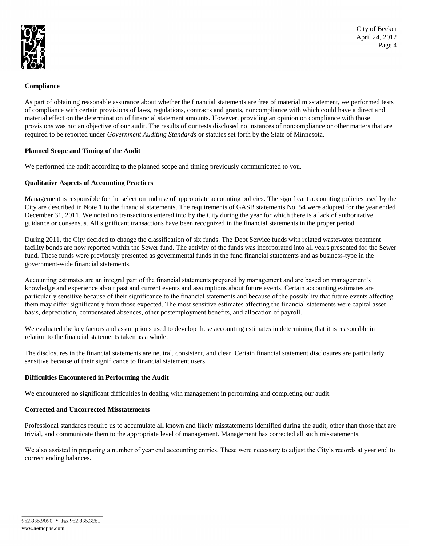

City of Becker April 24, 2012 Page 4

### **Compliance**

As part of obtaining reasonable assurance about whether the financial statements are free of material misstatement, we performed tests of compliance with certain provisions of laws, regulations, contracts and grants, noncompliance with which could have a direct and material effect on the determination of financial statement amounts. However, providing an opinion on compliance with those provisions was not an objective of our audit. The results of our tests disclosed no instances of noncompliance or other matters that are required to be reported under *Government Auditing Standards* or statutes set forth by the State of Minnesota.

### **Planned Scope and Timing of the Audit**

We performed the audit according to the planned scope and timing previously communicated to you.

### **Qualitative Aspects of Accounting Practices**

Management is responsible for the selection and use of appropriate accounting policies. The significant accounting policies used by the City are described in Note 1 to the financial statements. The requirements of GASB statements No. 54 were adopted for the year ended December 31, 2011. We noted no transactions entered into by the City during the year for which there is a lack of authoritative guidance or consensus. All significant transactions have been recognized in the financial statements in the proper period.

During 2011, the City decided to change the classification of six funds. The Debt Service funds with related wastewater treatment facility bonds are now reported within the Sewer fund. The activity of the funds was incorporated into all years presented for the Sewer fund. These funds were previously presented as governmental funds in the fund financial statements and as business-type in the government-wide financial statements.

Accounting estimates are an integral part of the financial statements prepared by management and are based on management's knowledge and experience about past and current events and assumptions about future events. Certain accounting estimates are particularly sensitive because of their significance to the financial statements and because of the possibility that future events affecting them may differ significantly from those expected. The most sensitive estimates affecting the financial statements were capital asset basis, depreciation, compensated absences, other postemployment benefits, and allocation of payroll.

We evaluated the key factors and assumptions used to develop these accounting estimates in determining that it is reasonable in relation to the financial statements taken as a whole.

The disclosures in the financial statements are neutral, consistent, and clear. Certain financial statement disclosures are particularly sensitive because of their significance to financial statement users.

### **Difficulties Encountered in Performing the Audit**

We encountered no significant difficulties in dealing with management in performing and completing our audit.

### **Corrected and Uncorrected Misstatements**

Professional standards require us to accumulate all known and likely misstatements identified during the audit, other than those that are trivial, and communicate them to the appropriate level of management. Management has corrected all such misstatements.

We also assisted in preparing a number of year end accounting entries. These were necessary to adjust the City's records at year end to correct ending balances.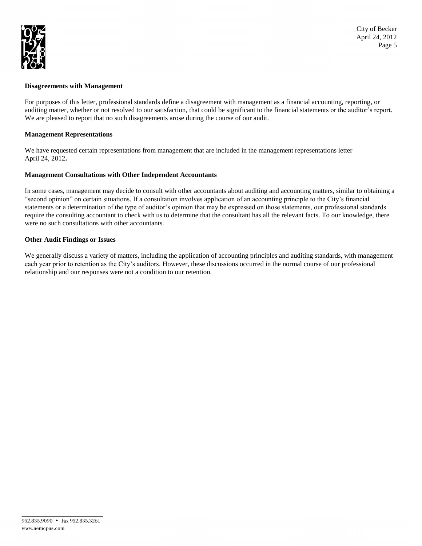

### **Disagreements with Management**

For purposes of this letter, professional standards define a disagreement with management as a financial accounting, reporting, or auditing matter, whether or not resolved to our satisfaction, that could be significant to the financial statements or the auditor's report. We are pleased to report that no such disagreements arose during the course of our audit.

### **Management Representations**

We have requested certain representations from management that are included in the management representations letter April 24, 2012**.**

### **Management Consultations with Other Independent Accountants**

In some cases, management may decide to consult with other accountants about auditing and accounting matters, similar to obtaining a "second opinion" on certain situations. If a consultation involves application of an accounting principle to the City's financial statements or a determination of the type of auditor's opinion that may be expressed on those statements, our professional standards require the consulting accountant to check with us to determine that the consultant has all the relevant facts. To our knowledge, there were no such consultations with other accountants.

### **Other Audit Findings or Issues**

We generally discuss a variety of matters, including the application of accounting principles and auditing standards, with management each year prior to retention as the City's auditors. However, these discussions occurred in the normal course of our professional relationship and our responses were not a condition to our retention.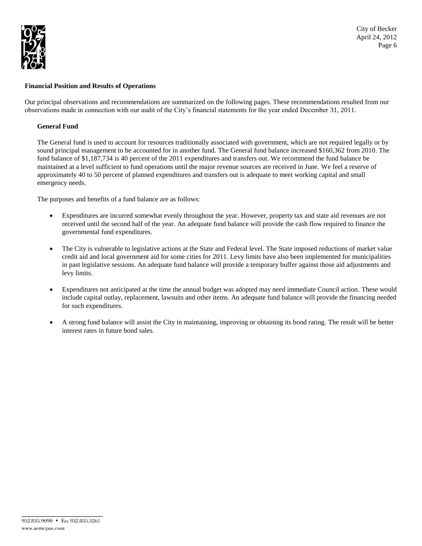

### **Financial Position and Results of Operations**

Our principal observations and recommendations are summarized on the following pages. These recommendations resulted from our observations made in connection with our audit of the City's financial statements for the year ended December 31, 2011.

### **General Fund**

The General fund is used to account for resources traditionally associated with government, which are not required legally or by sound principal management to be accounted for in another fund. The General fund balance increased \$160,362 from 2010. The fund balance of \$1,187,734 is 40 percent of the 2011 expenditures and transfers out. We recommend the fund balance be maintained at a level sufficient to fund operations until the major revenue sources are received in June. We feel a reserve of approximately 40 to 50 percent of planned expenditures and transfers out is adequate to meet working capital and small emergency needs.

The purposes and benefits of a fund balance are as follows:

- Expenditures are incurred somewhat evenly throughout the year. However, property tax and state aid revenues are not received until the second half of the year. An adequate fund balance will provide the cash flow required to finance the governmental fund expenditures.
- The City is vulnerable to legislative actions at the State and Federal level. The State imposed reductions of market value credit aid and local government aid for some cities for 2011. Levy limits have also been implemented for municipalities in past legislative sessions. An adequate fund balance will provide a temporary buffer against those aid adjustments and levy limits.
- Expenditures not anticipated at the time the annual budget was adopted may need immediate Council action. These would include capital outlay, replacement, lawsuits and other items. An adequate fund balance will provide the financing needed for such expenditures.
- A strong fund balance will assist the City in maintaining, improving or obtaining its bond rating. The result will be better interest rates in future bond sales.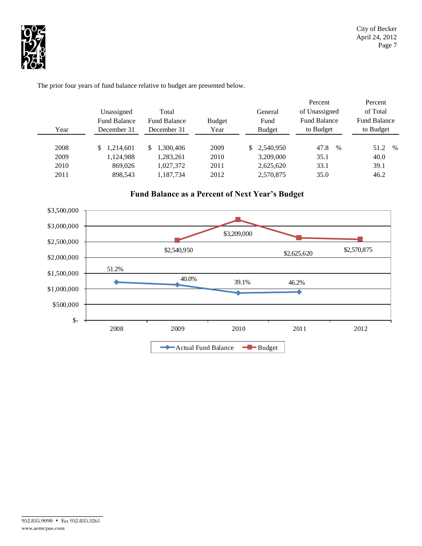

Unassigned Total General Fund Balance Fund Balance Budget Fund Year December 31 December 31 Year Budget 2008 \$ 1,214,601 \$ 1,300,406 2009 \$ 2,540,950 47.8 % 51.2 % 2009 1,124,988 1,283,261 2010 3,209,000 35.1 40.0 2010 869,026 1,027,372 2011 2,625,620 33.1 39.1 2011 898,543 1,187,734 2012 2,570,875 35.0 46.2 to Budget Fund Balance of Unassigned Percent Percent of Total Fund Balance to Budget

The prior four years of fund balance relative to budget are presented below.



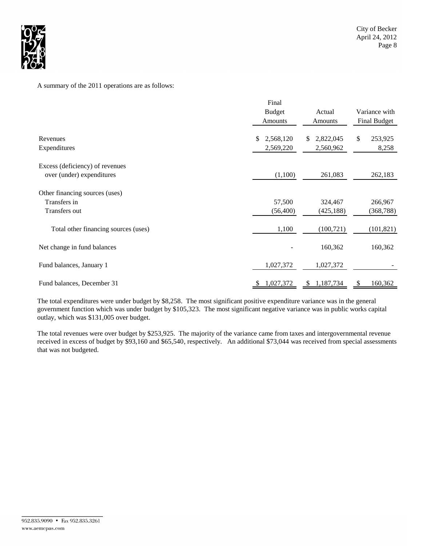

## A summary of the 2011 operations are as follows:

|                                                                 | Final<br><b>Budget</b><br><b>Amounts</b> | Actual<br>Amounts             | Variance with<br>Final Budget    |  |
|-----------------------------------------------------------------|------------------------------------------|-------------------------------|----------------------------------|--|
| Revenues<br>Expenditures                                        | 2,568,120<br>\$<br>2,569,220             | 2,822,045<br>\$.<br>2,560,962 | $\mathbb{S}$<br>253,925<br>8,258 |  |
| Excess (deficiency) of revenues<br>over (under) expenditures    | (1,100)                                  | 261,083                       | 262,183                          |  |
| Other financing sources (uses)<br>Transfers in<br>Transfers out | 57,500<br>(56, 400)                      | 324,467<br>(425, 188)         | 266,967<br>(368, 788)            |  |
| Total other financing sources (uses)                            | 1,100                                    | (100, 721)                    | (101, 821)                       |  |
| Net change in fund balances                                     |                                          | 160,362                       | 160,362                          |  |
| Fund balances, January 1                                        | 1,027,372                                | 1,027,372                     |                                  |  |
| Fund balances, December 31                                      | 1,027,372                                | 1,187,734<br>\$               | \$<br>160,362                    |  |

The total expenditures were under budget by \$8,258. The most significant positive expenditure variance was in the general government function which was under budget by \$105,323. The most significant negative variance was in public works capital outlay, which was \$131,005 over budget.

The total revenues were over budget by \$253,925. The majority of the variance came from taxes and intergovernmental revenue received in excess of budget by \$93,160 and \$65,540, respectively. An additional \$73,044 was received from special assessments that was not budgeted.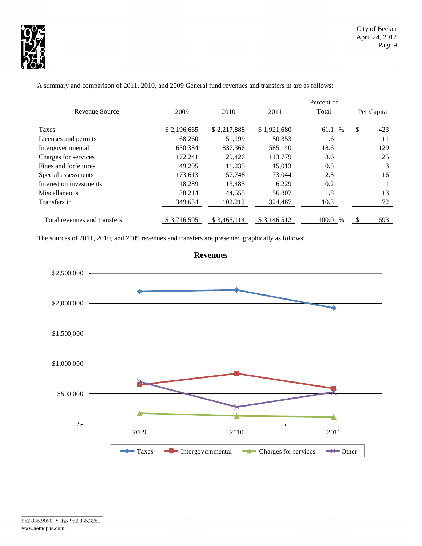

|                              |             |              |             | Percent of   |            |     |
|------------------------------|-------------|--------------|-------------|--------------|------------|-----|
| Revenue Source               | 2009        | 2010         | 2011        | Total        | Per Capita |     |
|                              |             |              |             |              |            |     |
| Taxes                        | \$2,196,665 | \$2,217,888  | \$1,921,680 | $\%$<br>61.1 | \$         | 423 |
| Licenses and permits         | 68,260      | 51.199       | 50,353      | 1.6          |            | 11  |
| Intergovernmental            | 650,384     | 837,366      | 585,140     | 18.6         |            | 129 |
| Charges for services         | 172.241     | 129,426      | 113,779     | 3.6          |            | 25  |
| Fines and forfeitures        | 49.295      | 11.235       | 15,013      | 0.5          |            | 3   |
| Special assessments          | 173.613     | 57.748       | 73,044      | 2.3          |            | 16  |
| Interest on investments      | 18,289      | 13,485       | 6,229       | 0.2          |            |     |
| Miscellaneous                | 38,214      | 44,555       | 56,807      | 1.8          |            | 13  |
| Transfers in                 | 349,634     | 102,212      | 324,467     | 10.3         |            | 72  |
| Total revenues and transfers | \$3,716,595 | \$ 3,465,114 | \$3,146,512 | 100.0 %      |            | 693 |

A summary and comparison of 2011, 2010, and 2009 General fund revenues and transfers in are as follows:

The sources of 2011, 2010, and 2009 revenues and transfers are presented graphically as follows:



## **Revenues**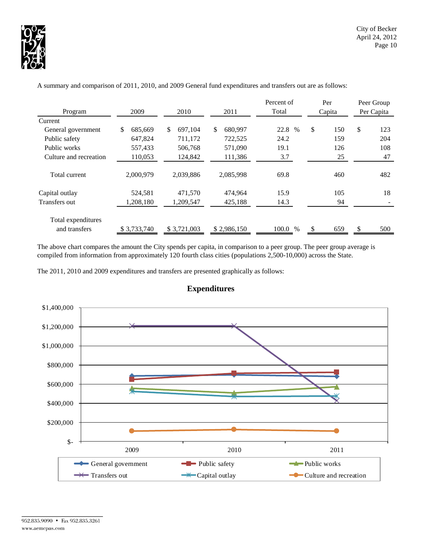

|                        |               |                |               | Percent of    | Per       | Peer Group |
|------------------------|---------------|----------------|---------------|---------------|-----------|------------|
| Program                | 2009          | 2010           | 2011          | Total         | Capita    | Per Capita |
| Current                |               |                |               |               |           |            |
| General government     | 685.669<br>\$ | \$.<br>697.104 | 680,997<br>\$ | 22.8 %        | \$<br>150 | \$<br>123  |
| Public safety          | 647,824       | 711,172        | 722,525       | 24.2          | 159       | 204        |
| Public works           | 557,433       | 506,768        | 571,090       | 19.1          | 126       | 108        |
| Culture and recreation | 110,053       | 124,842        | 111,386       | 3.7           | 25        | 47         |
| Total current          | 2,000,979     | 2,039,886      | 2,085,998     | 69.8          | 460       | 482        |
| Capital outlay         | 524,581       | 471,570        | 474,964       | 15.9          | 105       | 18         |
| Transfers out          | 1,208,180     | 1.209.547      | 425,188       | 14.3          | 94        |            |
| Total expenditures     |               |                |               |               |           |            |
| and transfers          | \$3,733,740   | \$3,721,003    | \$2,986,150   | 100.0<br>$\%$ | 659<br>S  | 500<br>S   |

A summary and comparison of 2011, 2010, and 2009 General fund expenditures and transfers out are as follows:

The above chart compares the amount the City spends per capita, in comparison to a peer group. The peer group average is compiled from information from approximately 120 fourth class cities (populations 2,500-10,000) across the State.





## **Expenditures**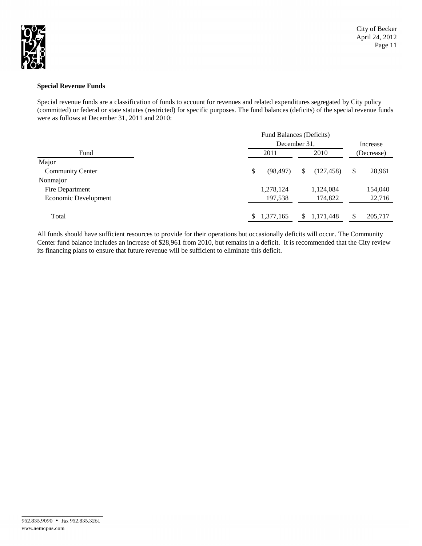

### **Special Revenue Funds**

Special revenue funds are a classification of funds to account for revenues and related expenditures segregated by City policy (committed) or federal or state statutes (restricted) for specific purposes. The fund balances (deficits) of the special revenue funds were as follows at December 31, 2011 and 2010:

|                         | Fund Balances (Deficits) |                 |             |    |            |  |  |  |
|-------------------------|--------------------------|-----------------|-------------|----|------------|--|--|--|
|                         |                          | December 31,    |             |    |            |  |  |  |
| Fund                    | 2011                     |                 | 2010        |    | (Decrease) |  |  |  |
| Major                   |                          |                 |             |    |            |  |  |  |
| <b>Community Center</b> | \$                       | (98, 497)<br>\$ | (127, 458)  | \$ | 28,961     |  |  |  |
| Nonmajor                |                          |                 |             |    |            |  |  |  |
| Fire Department         | 1,278,124                |                 | 1,124,084   |    | 154,040    |  |  |  |
| Economic Development    | 197,538                  |                 | 174,822     |    | 22,716     |  |  |  |
|                         |                          |                 |             |    |            |  |  |  |
| Total                   | \$1,377,165              |                 | \$1,171,448 |    | 205,717    |  |  |  |

All funds should have sufficient resources to provide for their operations but occasionally deficits will occur. The Community Center fund balance includes an increase of \$28,961 from 2010, but remains in a deficit. It is recommended that the City review its financing plans to ensure that future revenue will be sufficient to eliminate this deficit.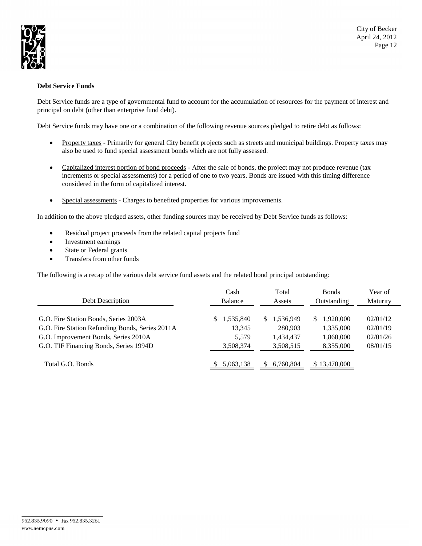

## **Debt Service Funds**

Debt Service funds are a type of governmental fund to account for the accumulation of resources for the payment of interest and principal on debt (other than enterprise fund debt).

Debt Service funds may have one or a combination of the following revenue sources pledged to retire debt as follows:

- Property taxes Primarily for general City benefit projects such as streets and municipal buildings. Property taxes may also be used to fund special assessment bonds which are not fully assessed.
- Capitalized interest portion of bond proceeds After the sale of bonds, the project may not produce revenue (tax increments or special assessments) for a period of one to two years. Bonds are issued with this timing difference considered in the form of capitalized interest.
- Special assessments Charges to benefited properties for various improvements.

In addition to the above pledged assets, other funding sources may be received by Debt Service funds as follows:

- Residual project proceeds from the related capital projects fund
- Investment earnings
- State or Federal grants
- Transfers from other funds

The following is a recap of the various debt service fund assets and the related bond principal outstanding:

| Debt Description                                | Cash<br><b>Balance</b> | Total<br><b>Assets</b> | <b>Bonds</b><br>Outstanding | Year of<br>Maturity |
|-------------------------------------------------|------------------------|------------------------|-----------------------------|---------------------|
| G.O. Fire Station Bonds, Series 2003A           | .535,840<br>S          | 1,536,949<br>S.        | 1.920.000<br>S              | 02/01/12            |
| G.O. Fire Station Refunding Bonds, Series 2011A | 13,345                 | 280,903                | 1,335,000                   | 02/01/19            |
| G.O. Improvement Bonds, Series 2010A            | 5,579                  | 1,434,437              | 1,860,000                   | 02/01/26            |
| G.O. TIF Financing Bonds, Series 1994D          | 3,508,374              | 3,508,515              | 8,355,000                   | 08/01/15            |
| Total G.O. Bonds                                | 5,063,138              | 6,760,804<br>S.        | \$13,470,000                |                     |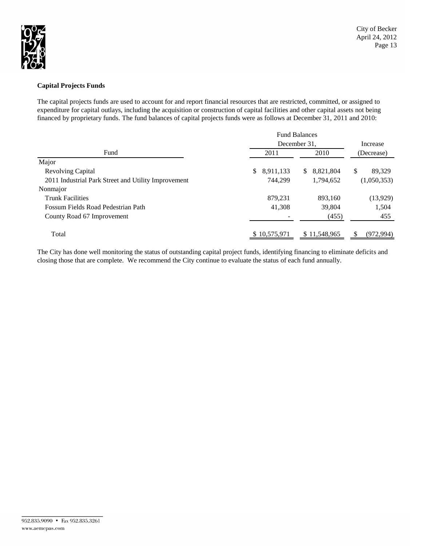

## **Capital Projects Funds**

The capital projects funds are used to account for and report financial resources that are restricted, committed, or assigned to expenditure for capital outlays, including the acquisition or construction of capital facilities and other capital assets not being financed by proprietary funds. The fund balances of capital projects funds were as follows at December 31, 2011 and 2010:

|                                                     | <b>Fund Balances</b> |                           |              |  |  |
|-----------------------------------------------------|----------------------|---------------------------|--------------|--|--|
|                                                     | December 31,         | Increase                  |              |  |  |
| Fund                                                | 2011                 | 2010                      | (Decrease)   |  |  |
| Major                                               |                      |                           |              |  |  |
| <b>Revolving Capital</b>                            | \$<br>8,911,133      | 8.821.804<br><sup>S</sup> | \$<br>89.329 |  |  |
| 2011 Industrial Park Street and Utility Improvement | 744.299              | 1,794,652                 | (1,050,353)  |  |  |
| Nonmajor                                            |                      |                           |              |  |  |
| <b>Trunk Facilities</b>                             | 879,231              | 893,160                   | (13, 929)    |  |  |
| Fossum Fields Road Pedestrian Path                  | 41,308               | 39,804                    | 1,504        |  |  |
| County Road 67 Improvement                          |                      | (455)                     | 455          |  |  |
| Total                                               | \$10,575,971         | \$11,548,965              | (972.994)    |  |  |

The City has done well monitoring the status of outstanding capital project funds, identifying financing to eliminate deficits and closing those that are complete. We recommend the City continue to evaluate the status of each fund annually.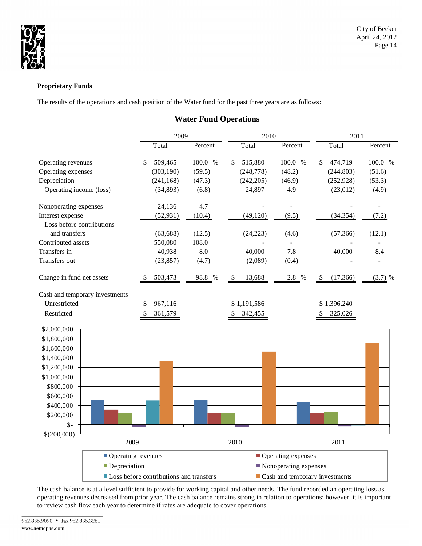

## **Proprietary Funds**

The results of the operations and cash position of the Water fund for the past three years are as follows:

## **Water Fund Operations**

|                                | 2009                                    |               | 2010<br>2011  |                       |                                               |                          |
|--------------------------------|-----------------------------------------|---------------|---------------|-----------------------|-----------------------------------------------|--------------------------|
|                                | Total                                   | Percent       | Total         | Percent               | Total                                         | Percent                  |
| Operating revenues             | 509,465<br>\$                           | 100.0<br>$\%$ | \$<br>515,880 | 100.0<br>$\%$         | \$<br>474,719                                 | 100.0 %                  |
| Operating expenses             | (303, 190)                              | (59.5)        | (248, 778)    | (48.2)                | (244, 803)                                    | (51.6)                   |
| Depreciation                   | (241, 168)                              | (47.3)        | (242, 205)    | (46.9)                | (252, 928)                                    | (53.3)                   |
| Operating income (loss)        | (34,893)                                | (6.8)         | 24,897        | 4.9                   | (23,012)                                      | (4.9)                    |
| Nonoperating expenses          | 24,136                                  | 4.7           |               |                       |                                               | $\overline{\phantom{a}}$ |
| Interest expense               | (52, 931)                               | (10.4)        | (49, 120)     | (9.5)                 | (34, 354)                                     | (7.2)                    |
| Loss before contributions      |                                         |               |               |                       |                                               |                          |
| and transfers                  | (63, 688)                               | (12.5)        | (24, 223)     | (4.6)                 | (57, 366)                                     | (12.1)                   |
| Contributed assets             | 550,080                                 | 108.0         |               |                       |                                               |                          |
| Transfers in                   | 40,938                                  | 8.0           | 40,000        | 7.8                   | 40,000                                        | 8.4                      |
| Transfers out                  | (23, 857)                               | (4.7)         | (2,089)       | (0.4)                 |                                               |                          |
| Change in fund net assets      | 503,473                                 | 98.8<br>$\%$  | 13,688<br>\$  | 2.8 %                 | (17,366)<br>-\$                               | $(3.7)$ %                |
| Cash and temporary investments |                                         |               |               |                       |                                               |                          |
| Unrestricted                   | 967,116<br>\$                           |               | \$1,191,586   |                       | \$1,396,240                                   |                          |
| Restricted                     | \$<br>361,579                           |               | \$<br>342,455 |                       | \$<br>325,026                                 |                          |
| \$2,000,000                    |                                         |               |               |                       |                                               |                          |
| \$1,800,000                    |                                         |               |               |                       |                                               |                          |
| \$1,600,000                    |                                         |               |               |                       |                                               |                          |
| \$1,400,000                    |                                         |               |               |                       |                                               |                          |
| \$1,200,000                    |                                         |               |               |                       |                                               |                          |
| \$1,000,000                    |                                         |               |               |                       |                                               |                          |
| \$800,000                      |                                         |               |               |                       |                                               |                          |
| \$600,000                      |                                         |               |               |                       |                                               |                          |
| \$400,000                      |                                         |               |               |                       |                                               |                          |
| \$200,000                      |                                         |               |               |                       |                                               |                          |
| $\frac{1}{2}$                  |                                         |               |               |                       |                                               |                          |
| \$(200,000)                    |                                         |               |               |                       |                                               |                          |
|                                | 2009                                    |               | 2010          |                       | 2011                                          |                          |
|                                | Operating revenues                      |               |               | Operating expenses    |                                               |                          |
| Depreciation                   |                                         |               |               | Nonoperating expenses |                                               |                          |
|                                | Loss before contributions and transfers |               |               |                       | $\blacksquare$ Cash and temporary investments |                          |

The cash balance is at a level sufficient to provide for working capital and other needs. The fund recorded an operating loss as operating revenues decreased from prior year. The cash balance remains strong in relation to operations; however, it is important to review cash flow each year to determine if rates are adequate to cover operations.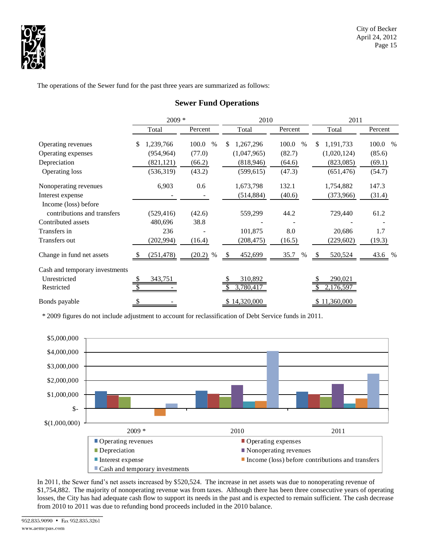

The operations of the Sewer fund for the past three years are summarized as follows:

|                                | $2009 *$         |               | 2010            |               | 2011             |               |  |
|--------------------------------|------------------|---------------|-----------------|---------------|------------------|---------------|--|
|                                | Total            | Percent       | Total           | Percent       | Total            | Percent       |  |
| Operating revenues             | 1,239,766<br>\$. | 100.0<br>$\%$ | \$<br>1,267,296 | 100.0<br>$\%$ | 1,191,733<br>\$. | 100.0<br>$\%$ |  |
| Operating expenses             | (954, 964)       | (77.0)        | (1,047,965)     | (82.7)        | (1,020,124)      | (85.6)        |  |
| Depreciation                   | (821, 121)       | (66.2)        | (818, 946)      | (64.6)        | (823,085)        | (69.1)        |  |
| Operating loss                 | (536,319)        | (43.2)        | (599, 615)      | (47.3)        | (651, 476)       | (54.7)        |  |
| Nonoperating revenues          | 6,903            | 0.6           | 1,673,798       | 132.1         | 1,754,882        | 147.3         |  |
| Interest expense               |                  |               | (514, 884)      | (40.6)        | (373,966)        | (31.4)        |  |
| Income (loss) before           |                  |               |                 |               |                  |               |  |
| contributions and transfers    | (529, 416)       | (42.6)        | 559,299         | 44.2          | 729,440          | 61.2          |  |
| Contributed assets             | 480,696          | 38.8          |                 |               |                  |               |  |
| Transfers in                   | 236              |               | 101,875         | 8.0           | 20,686           | 1.7           |  |
| Transfers out                  | (202, 994)       | (16.4)        | (208, 475)      | (16.5)        | (229, 602)       | (19.3)        |  |
| Change in fund net assets      | (251, 478)       | $(20.2)$ %    | 452,699<br>\$.  | 35.7<br>$\%$  | 520,524<br>- S   | 43.6 %        |  |
| Cash and temporary investments |                  |               |                 |               |                  |               |  |
| Unrestricted                   | 343,751<br>S     |               | 310,892         |               | 290,021          |               |  |
| Restricted                     |                  |               | 3,780,41        |               | 2,176,597        |               |  |
| Bonds payable                  | \$               |               | \$14,320,000    |               | \$11,360,000     |               |  |

## **Sewer Fund Operations**

\* 2009 figures do not include adjustment to account for reclassification of Debt Service funds in 2011.



In 2011, the Sewer fund's net assets increased by \$520,524. The increase in net assets was due to nonoperating revenue of \$1,754,882. The majority of nonoperating revenue was from taxes. Although there has been three consecutive years of operating losses, the City has had adequate cash flow to support its needs in the past and is expected to remain sufficient. The cash decrease from 2010 to 2011 was due to refunding bond proceeds included in the 2010 balance.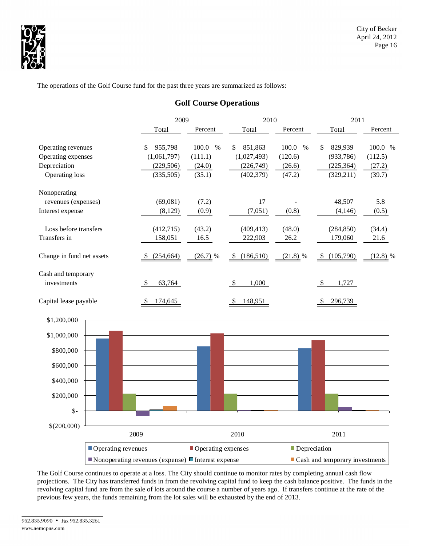

The operations of the Golf Course fund for the past three years are summarized as follows:

## **Golf Course Operations**

|                                          |                    | 2009                                                                           |                          | 2010                         |                          |                                               | 2011               |  |  |
|------------------------------------------|--------------------|--------------------------------------------------------------------------------|--------------------------|------------------------------|--------------------------|-----------------------------------------------|--------------------|--|--|
|                                          |                    | Total                                                                          | Percent                  | Total                        | Percent                  | Total                                         | Percent            |  |  |
| Operating revenues<br>Operating expenses |                    | 955,798<br>\$<br>(1,061,797)                                                   | 100.0<br>$\%$<br>(111.1) | 851,863<br>\$<br>(1,027,493) | 100.0<br>$\%$<br>(120.6) | 829,939<br>\$<br>(933, 786)                   | 100.0 %<br>(112.5) |  |  |
| Depreciation<br>Operating loss           |                    | (229, 506)<br>(335,505)                                                        | (24.0)<br>(35.1)         | (226,749)<br>(402, 379)      | (26.6)<br>(47.2)         | (225, 364)<br>(329, 211)                      | (27.2)<br>(39.7)   |  |  |
| Nonoperating                             |                    |                                                                                |                          |                              |                          |                                               |                    |  |  |
| revenues (expenses)<br>Interest expense  |                    | (69,081)<br>(8,129)                                                            | (7.2)<br>(0.9)           | 17<br>(7,051)                | (0.8)                    | 48,507<br>(4, 146)                            | 5.8<br>(0.5)       |  |  |
| Loss before transfers                    |                    | (412,715)                                                                      | (43.2)                   | (409, 413)                   | (48.0)                   | (284, 850)                                    | (34.4)             |  |  |
| Transfers in                             |                    | 158,051                                                                        | 16.5                     | 222,903                      | 26.2                     | 179,060                                       | 21.6               |  |  |
| Change in fund net assets                |                    | (254, 664)                                                                     | $(26.7)$ %               | (186,510)<br>\$              | $(21.8)$ %               | (105,790)<br>$\frac{1}{2}$                    | $(12.8)$ %         |  |  |
| Cash and temporary<br>investments        |                    | \$<br>63,764                                                                   |                          | 1,000<br>\$                  |                          | 1,727<br>\$                                   |                    |  |  |
| Capital lease payable                    |                    | 174,645<br>\$                                                                  |                          | 148,951<br>\$                |                          | 296,739<br>S                                  |                    |  |  |
| \$1,200,000                              |                    |                                                                                |                          |                              |                          |                                               |                    |  |  |
| \$1,000,000                              |                    |                                                                                |                          |                              |                          |                                               |                    |  |  |
| \$800,000                                |                    |                                                                                |                          |                              |                          |                                               |                    |  |  |
| \$600,000                                |                    |                                                                                |                          |                              |                          |                                               |                    |  |  |
| \$400,000                                |                    |                                                                                |                          |                              |                          |                                               |                    |  |  |
| \$200,000                                |                    |                                                                                |                          |                              |                          |                                               |                    |  |  |
| $\mathsf{\$}$                            |                    |                                                                                |                          |                              |                          |                                               |                    |  |  |
| \$(200,000)                              | 2009               |                                                                                |                          | 2010                         |                          | 2011                                          |                    |  |  |
|                                          | Operating revenues |                                                                                | Operating expenses       |                              | Depreciation             |                                               |                    |  |  |
|                                          |                    | $\blacksquare$ Nonoperating revenues (expense) $\blacksquare$ Interest expense |                          |                              |                          | $\blacksquare$ Cash and temporary investments |                    |  |  |

The Golf Course continues to operate at a loss. The City should continue to monitor rates by completing annual cash flow projections. The City has transferred funds in from the revolving capital fund to keep the cash balance positive. The funds in the revolving capital fund are from the sale of lots around the course a number of years ago. If transfers continue at the rate of the previous few years, the funds remaining from the lot sales will be exhausted by the end of 2013.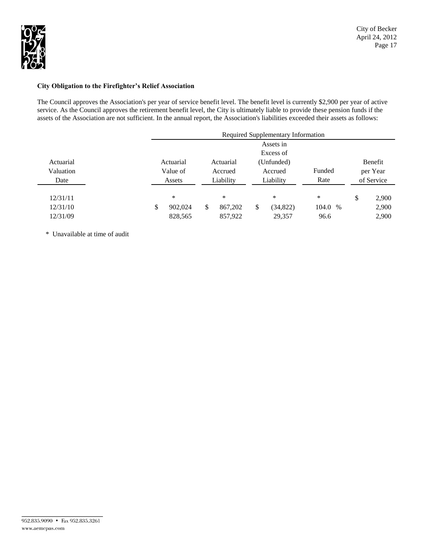

### **City Obligation to the Firefighter's Relief Association**

The Council approves the Association's per year of service benefit level. The benefit level is currently \$2,900 per year of active service. As the Council approves the retirement benefit level, the City is ultimately liable to provide these pension funds if the assets of the Association are not sufficient. In the annual report, the Association's liabilities exceeded their assets as follows:

|           | Required Supplementary Information |    |           |    |            |         |  |    |            |
|-----------|------------------------------------|----|-----------|----|------------|---------|--|----|------------|
|           |                                    |    |           |    | Assets in  |         |  |    |            |
|           |                                    |    |           |    | Excess of  |         |  |    |            |
| Actuarial | Actuarial                          |    | Actuarial |    | (Unfunded) |         |  |    | Benefit    |
| Valuation | Value of                           |    | Accrued   |    | Accrued    | Funded  |  |    | per Year   |
| Date      | Assets                             |    | Liability |    | Liability  | Rate    |  |    | of Service |
|           |                                    |    |           |    |            |         |  |    |            |
| 12/31/11  | $\ast$                             |    | $\ast$    |    | *          | *       |  | \$ | 2,900      |
| 12/31/10  | \$<br>902.024                      | \$ | 867,202   | \$ | (34, 822)  | 104.0 % |  |    | 2,900      |
| 12/31/09  | 828,565                            |    | 857,922   |    | 29,357     | 96.6    |  |    | 2,900      |

\* Unavailable at time of audit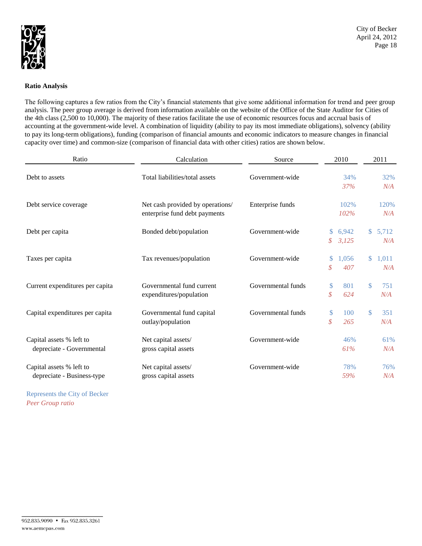

### **Ratio Analysis**

The following captures a few ratios from the City's financial statements that give some additional information for trend and peer group analysis. The peer group average is derived from information available on the website of the Office of the State Auditor for Cities of the 4th class (2,500 to 10,000). The majority of these ratios facilitate the use of economic resources focus and accrual basis of accounting at the government-wide level. A combination of liquidity (ability to pay its most immediate obligations), solvency (ability to pay its long-term obligations), funding (comparison of financial amounts and economic indicators to measure changes in financial capacity over time) and common-size (comparison of financial data with other cities) ratios are shown below.

| Ratio                                                  | Calculation                                                       | Source             | 2010               |                | 2011         |              |
|--------------------------------------------------------|-------------------------------------------------------------------|--------------------|--------------------|----------------|--------------|--------------|
| Debt to assets                                         | Total liabilities/total assets                                    | Government-wide    |                    | 34%<br>37%     |              | 32%<br>N/A   |
| Debt service coverage                                  | Net cash provided by operations/<br>enterprise fund debt payments | Enterprise funds   |                    | 102%<br>102%   |              | 120%<br>N/A  |
| Debt per capita                                        | Bonded debt/population                                            | Government-wide    | $\mathbb{S}$<br>\$ | 6,942<br>3,125 | $\mathbb{S}$ | 5,712<br>N/A |
| Taxes per capita                                       | Tax revenues/population                                           | Government-wide    | \$<br>\$           | 1.056<br>407   | $\mathbb{S}$ | 1,011<br>N/A |
| Current expenditures per capita                        | Governmental fund current<br>expenditures/population              | Governmental funds | \$<br>\$           | 801<br>624     | \$           | 751<br>N/A   |
| Capital expenditures per capita                        | Governmental fund capital<br>outlay/population                    | Governmental funds | \$<br>\$           | 100<br>265     | \$           | 351<br>N/A   |
| Capital assets % left to<br>depreciate - Governmental  | Net capital assets/<br>gross capital assets                       | Government-wide    |                    | 46%<br>61%     |              | 61%<br>N/A   |
| Capital assets % left to<br>depreciate - Business-type | Net capital assets/<br>gross capital assets                       | Government-wide    |                    | 78%<br>59%     |              | 76%<br>N/A   |

Represents the City of Becker *Peer Group ratio*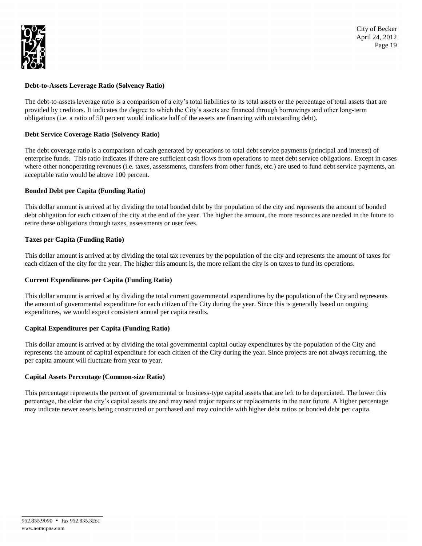

### **Debt-to-Assets Leverage Ratio (Solvency Ratio)**

The debt-to-assets leverage ratio is a comparison of a city's total liabilities to its total assets or the percentage of total assets that are provided by creditors. It indicates the degree to which the City's assets are financed through borrowings and other long-term obligations (i.e. a ratio of 50 percent would indicate half of the assets are financing with outstanding debt).

### **Debt Service Coverage Ratio (Solvency Ratio)**

The debt coverage ratio is a comparison of cash generated by operations to total debt service payments (principal and interest) of enterprise funds. This ratio indicates if there are sufficient cash flows from operations to meet debt service obligations. Except in cases where other nonoperating revenues (i.e. taxes, assessments, transfers from other funds, etc.) are used to fund debt service payments, an acceptable ratio would be above 100 percent.

### **Bonded Debt per Capita (Funding Ratio)**

This dollar amount is arrived at by dividing the total bonded debt by the population of the city and represents the amount of bonded debt obligation for each citizen of the city at the end of the year. The higher the amount, the more resources are needed in the future to retire these obligations through taxes, assessments or user fees.

### **Taxes per Capita (Funding Ratio)**

This dollar amount is arrived at by dividing the total tax revenues by the population of the city and represents the amount of taxes for each citizen of the city for the year. The higher this amount is, the more reliant the city is on taxes to fund its operations.

#### **Current Expenditures per Capita (Funding Ratio)**

This dollar amount is arrived at by dividing the total current governmental expenditures by the population of the City and represents the amount of governmental expenditure for each citizen of the City during the year. Since this is generally based on ongoing expenditures, we would expect consistent annual per capita results.

### **Capital Expenditures per Capita (Funding Ratio)**

This dollar amount is arrived at by dividing the total governmental capital outlay expenditures by the population of the City and represents the amount of capital expenditure for each citizen of the City during the year. Since projects are not always recurring, the per capita amount will fluctuate from year to year.

#### **Capital Assets Percentage (Common-size Ratio)**

This percentage represents the percent of governmental or business-type capital assets that are left to be depreciated. The lower this percentage, the older the city's capital assets are and may need major repairs or replacements in the near future. A higher percentage may indicate newer assets being constructed or purchased and may coincide with higher debt ratios or bonded debt per capita.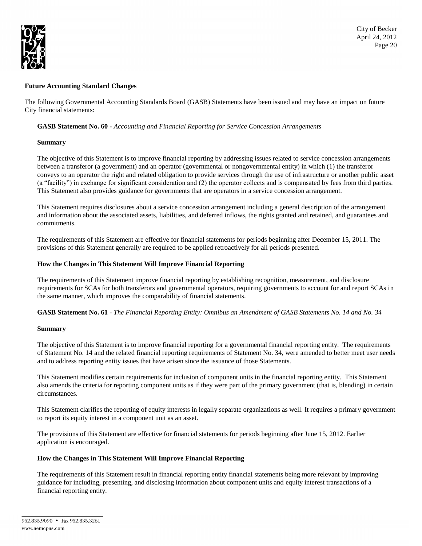

### **Future Accounting Standard Changes**

The following Governmental Accounting Standards Board (GASB) Statements have been issued and may have an impact on future City financial statements:

### **GASB Statement No. 60 -** *Accounting and Financial Reporting for Service Concession Arrangements*

### **Summary**

The objective of this Statement is to improve financial reporting by addressing issues related to service concession arrangements between a transferor (a government) and an operator (governmental or nongovernmental entity) in which (1) the transferor conveys to an operator the right and related obligation to provide services through the use of infrastructure or another public asset (a "facility") in exchange for significant consideration and (2) the operator collects and is compensated by fees from third parties. This Statement also provides guidance for governments that are operators in a service concession arrangement.

This Statement requires disclosures about a service concession arrangement including a general description of the arrangement and information about the associated assets, liabilities, and deferred inflows, the rights granted and retained, and guarantees and commitments.

The requirements of this Statement are effective for financial statements for periods beginning after December 15, 2011. The provisions of this Statement generally are required to be applied retroactively for all periods presented.

### **How the Changes in This Statement Will Improve Financial Reporting**

The requirements of this Statement improve financial reporting by establishing recognition, measurement, and disclosure requirements for SCAs for both transferors and governmental operators, requiring governments to account for and report SCAs in the same manner, which improves the comparability of financial statements.

**GASB Statement No. 61** - *The Financial Reporting Entity: Omnibus an Amendment of GASB Statements No. 14 and No. 34*

### **Summary**

The objective of this Statement is to improve financial reporting for a governmental financial reporting entity. The requirements of [Statement No. 14](https://checkpoint.riag.com/app/main/docLinkNew?usid=2a9001178efe&DocID=iGASB%3A834.1930&SrcDocId=T0GASB%3A1120.1-1&feature=tcheckpoint&lastCpReqId=3551650) and the related financial reporting requirements o[f Statement No. 34,](https://checkpoint.riag.com/app/main/docLinkNew?usid=2a9001178efe&DocID=iGASB%3A638.5809&SrcDocId=T0GASB%3A1120.1-1&feature=tcheckpoint&lastCpReqId=3551650) were amended to better meet user needs and to address reporting entity issues that have arisen since the issuance of those Statements.

This Statement modifies certain requirements for inclusion of component units in the financial reporting entity. This Statement also amends the criteria for reporting component units as if they were part of the primary government (that is, blending) in certain circumstances.

This Statement clarifies the reporting of equity interests in legally separate organizations as well. It requires a primary government to report its equity interest in a component unit as an asset.

The provisions of this Statement are effective for financial statements for periods beginning after June 15, 2012. Earlier application is encouraged.

## **How the Changes in This Statement Will Improve Financial Reporting**

The requirements of this Statement result in financial reporting entity financial statements being more relevant by improving guidance for including, presenting, and disclosing information about component units and equity interest transactions of a financial reporting entity.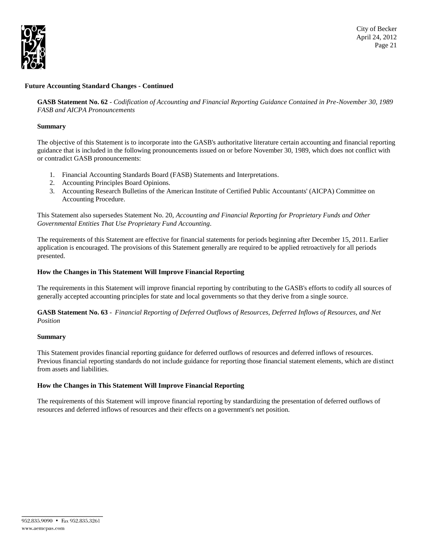

City of Becker April 24, 2012 Page 21

### **Future Accounting Standard Changes - Continued**

**GASB Statement No. 62** - *Codification of Accounting and Financial Reporting Guidance Contained in Pre-November 30, 1989 FASB and AICPA Pronouncements*

### **Summary**

The objective of this Statement is to incorporate into the GASB's authoritative literature certain accounting and financial reporting guidance that is included in the following pronouncements issued on or before November 30, 1989, which does not conflict with or contradict GASB pronouncements:

- 1. Financial Accounting Standards Board (FASB) Statements and Interpretations.
- 2. Accounting Principles Board Opinions.
- 3. Accounting Research Bulletins of the American Institute of Certified Public Accountants' (AICPA) Committee on Accounting Procedure.

This Statement also supersedes Statement No. 20, *Accounting and Financial Reporting for Proprietary Funds and Other Governmental Entities That Use Proprietary Fund Accounting.*

The requirements of this Statement are effective for financial statements for periods beginning after December 15, 2011. Earlier application is encouraged. The provisions of this Statement generally are required to be applied retroactively for all periods presented.

### **How the Changes in This Statement Will Improve Financial Reporting**

The requirements in this Statement will improve financial reporting by contributing to the GASB's efforts to codify all sources of generally accepted accounting principles for state and local governments so that they derive from a single source.

**GASB Statement No. 63** - *Financial Reporting of Deferred Outflows of Resources, Deferred Inflows of Resources, and Net Position*

### **Summary**

This Statement provides financial reporting guidance for deferred outflows of resources and deferred inflows of resources. Previous financial reporting standards do not include guidance for reporting those financial statement elements, which are distinct from assets and liabilities.

### **How the Changes in This Statement Will Improve Financial Reporting**

The requirements of this Statement will improve financial reporting by standardizing the presentation of deferred outflows of resources and deferred inflows of resources and their effects on a government's net position.